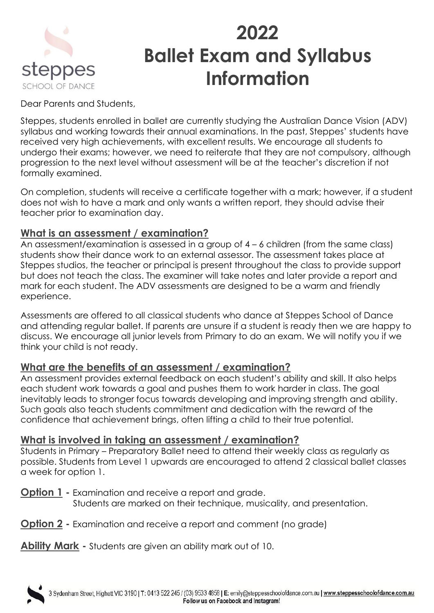

# **2022 Ballet Exam and Syllabus Information**

Dear Parents and Students,

Steppes, students enrolled in ballet are currently studying the Australian Dance Vision (ADV) syllabus and working towards their annual examinations. In the past, Steppes' students have received very high achievements, with excellent results. We encourage all students to undergo their exams; however, we need to reiterate that they are not compulsory, although progression to the next level without assessment will be at the teacher's discretion if not formally examined.

On completion, students will receive a certificate together with a mark; however, if a student does not wish to have a mark and only wants a written report, they should advise their teacher prior to examination day.

### **What is an assessment / examination?**

An assessment/examination is assessed in a group of 4 – 6 children (from the same class) students show their dance work to an external assessor. The assessment takes place at Steppes studios, the teacher or principal is present throughout the class to provide support but does not teach the class. The examiner will take notes and later provide a report and mark for each student. The ADV assessments are designed to be a warm and friendly experience.

Assessments are offered to all classical students who dance at Steppes School of Dance and attending regular ballet. If parents are unsure if a student is ready then we are happy to discuss. We encourage all junior levels from Primary to do an exam. We will notify you if we think your child is not ready.

### **What are the benefits of an assessment / examination?**

An assessment provides external feedback on each student's ability and skill. It also helps each student work towards a goal and pushes them to work harder in class. The goal inevitably leads to stronger focus towards developing and improving strength and ability. Such goals also teach students commitment and dedication with the reward of the confidence that achievement brings, often lifting a child to their true potential.

### **What is involved in taking an assessment / examination?**

Students in Primary – Preparatory Ballet need to attend their weekly class as regularly as possible. Students from Level 1 upwards are encouraged to attend 2 classical ballet classes a week for option 1.

**Option 1 -** Examination and receive a report and grade. Students are marked on their technique, musicality, and presentation.

**Option 2 -** Examination and receive a report and comment (no grade)

**Ability Mark -** Students are given an ability mark out of 10.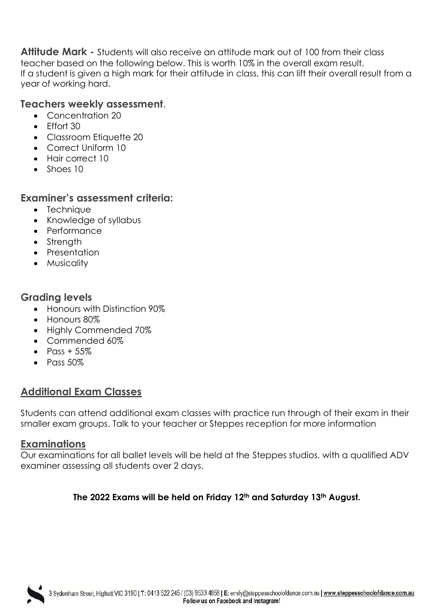**Attitude Mark -** Students will also receive an attitude mark out of 100 from their class teacher based on the following below. This is worth 10% in the overall exam result. If a student is given a high mark for their attitude in class, this can lift their overall result from a year of working hard.

#### **Teachers weekly assessment**.

- Concentration 20
- Fffort 30
- Classroom Etiquette 20
- Correct Uniform 10
- Hair correct 10
- Shoes 10

#### **Examiner's assessment criteria:**

- Technique
- Knowledge of syllabus
- Performance
- Strength
- Presentation
- Musicality

#### **Grading levels**

- Honours with Distinction 90%
- Honours 80%
- Highly Commended 70%
- Commended 60%
- Pass  $+55\%$
- $\bullet$  Pass 50%

## **Additional Exam Classes**

Students can attend additional exam classes with practice run through of their exam in their smaller exam groups. Talk to your teacher or Steppes reception for more information

### **Examinations**

Our examinations for all ballet levels will be held at the Steppes studios, with a qualified ADV examiner assessing all students over 2 days.

#### **The 2022 Exams will be held on Friday 12th and Saturday 13th August.**